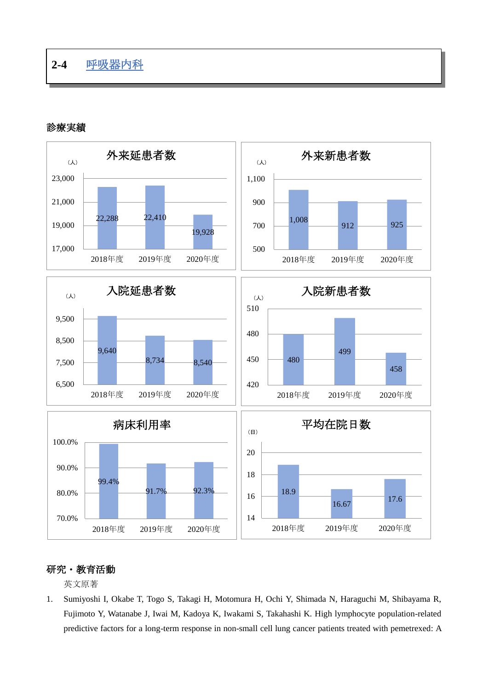## 診療実績



## 研究・教育活動

英文原著

1. Sumiyoshi I, Okabe T, Togo S, Takagi H, Motomura H, Ochi Y, Shimada N, Haraguchi M, Shibayama R, Fujimoto Y, Watanabe J, Iwai M, Kadoya K, Iwakami S, Takahashi K. High lymphocyte population-related predictive factors for a long-term response in non-small cell lung cancer patients treated with pemetrexed: A